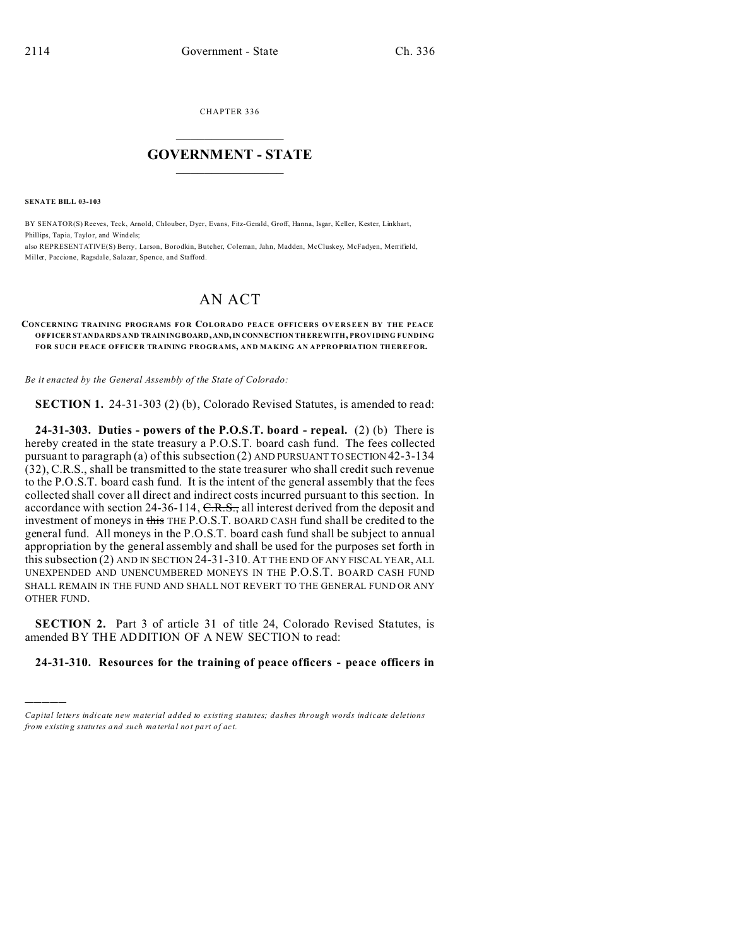CHAPTER 336  $\overline{\phantom{a}}$  , where  $\overline{\phantom{a}}$ 

## **GOVERNMENT - STATE**  $\_$   $\_$

**SENATE BILL 03-103**

)))))

BY SENATOR(S) Reeves, Teck, Arnold, Chlouber, Dyer, Evans, Fitz-Gerald, Groff, Hanna, Isgar, Keller, Kester, Linkhart, Phillips, Tapia, Taylor, and Windels;

also REPRESENTATIVE(S) Berry, Larson, Borodkin, Butcher, Coleman, Jahn, Madden, McCluskey, McFadyen, Merrifield, Miller, Paccione, Ragsdale, Salazar, Spence, and Stafford.

## AN ACT

## **CONCERNING TRAINING PROGRAMS FO R COLORADO PEACE OFFICERS OVERSEEN BY THE PEACE OFFICER STANDARDS AND TRAININGBOARD, AND,IN CONNECTION THEREWITH, PROVIDING FUNDING FOR SUCH PEACE OFFICER TRAINING PROGRAMS, AND MAKING AN APPROPRIATION THEREFOR.**

*Be it enacted by the General Assembly of the State of Colorado:*

**SECTION 1.** 24-31-303 (2) (b), Colorado Revised Statutes, is amended to read:

**24-31-303. Duties - powers of the P.O.S.T. board - repeal.** (2) (b) There is hereby created in the state treasury a P.O.S.T. board cash fund. The fees collected pursuant to paragraph (a) of this subsection (2) AND PURSUANT TO SECTION 42-3-134 (32), C.R.S., shall be transmitted to the state treasurer who shall credit such revenue to the P.O.S.T. board cash fund. It is the intent of the general assembly that the fees collected shall cover all direct and indirect costs incurred pursuant to this section. In accordance with section 24-36-114, C.R.S., all interest derived from the deposit and investment of moneys in this THE P.O.S.T. BOARD CASH fund shall be credited to the general fund. All moneys in the P.O.S.T. board cash fund shall be subject to annual appropriation by the general assembly and shall be used for the purposes set forth in this subsection (2) AND IN SECTION 24-31-310.AT THE END OF ANY FISCAL YEAR, ALL UNEXPENDED AND UNENCUMBERED MONEYS IN THE P.O.S.T. BOARD CASH FUND SHALL REMAIN IN THE FUND AND SHALL NOT REVERT TO THE GENERAL FUND OR ANY OTHER FUND.

**SECTION 2.** Part 3 of article 31 of title 24, Colorado Revised Statutes, is amended BY THE ADDITION OF A NEW SECTION to read:

## **24-31-310. Resources for the training of peace officers - peace officers in**

*Capital letters indicate new material added to existing statutes; dashes through words indicate deletions from e xistin g statu tes a nd such ma teria l no t pa rt of ac t.*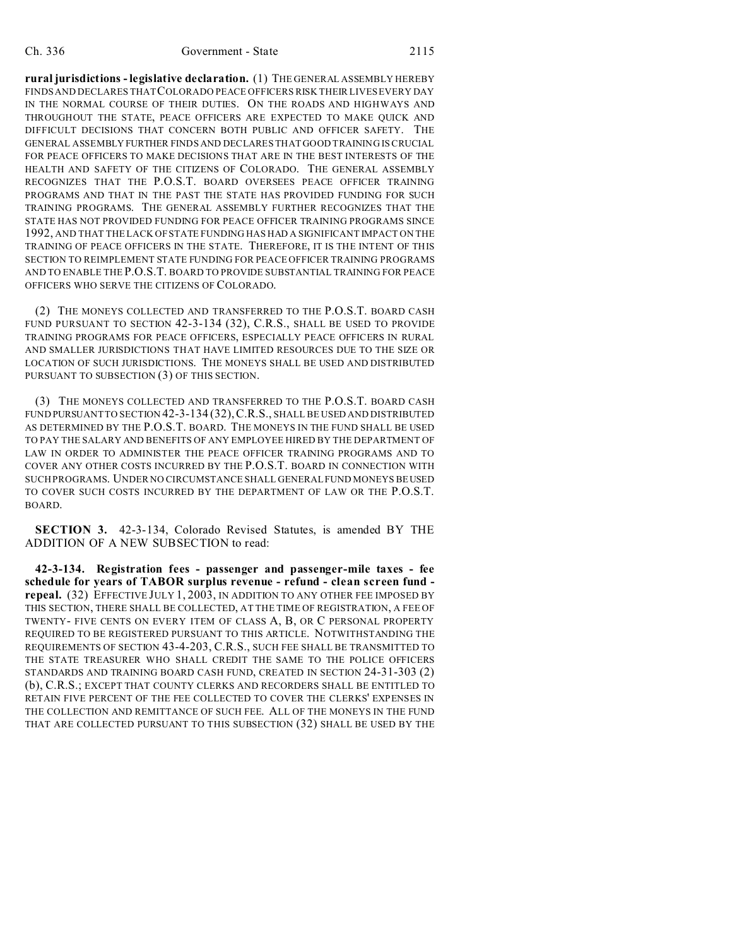**rural jurisdictions - legislative declaration.** (1) THE GENERAL ASSEMBLY HEREBY FINDS AND DECLARES THAT COLORADO PEACE OFFICERS RISK THEIR LIVES EVERY DAY IN THE NORMAL COURSE OF THEIR DUTIES. ON THE ROADS AND HIGHWAYS AND THROUGHOUT THE STATE, PEACE OFFICERS ARE EXPECTED TO MAKE QUICK AND DIFFICULT DECISIONS THAT CONCERN BOTH PUBLIC AND OFFICER SAFETY. THE GENERAL ASSEMBLY FURTHER FINDS AND DECLARES THAT GOOD TRAINING IS CRUCIAL FOR PEACE OFFICERS TO MAKE DECISIONS THAT ARE IN THE BEST INTERESTS OF THE HEALTH AND SAFETY OF THE CITIZENS OF COLORADO. THE GENERAL ASSEMBLY RECOGNIZES THAT THE P.O.S.T. BOARD OVERSEES PEACE OFFICER TRAINING PROGRAMS AND THAT IN THE PAST THE STATE HAS PROVIDED FUNDING FOR SUCH TRAINING PROGRAMS. THE GENERAL ASSEMBLY FURTHER RECOGNIZES THAT THE STATE HAS NOT PROVIDED FUNDING FOR PEACE OFFICER TRAINING PROGRAMS SINCE 1992, AND THAT THE LACK OF STATE FUNDING HAS HAD A SIGNIFICANT IMPACT ON THE TRAINING OF PEACE OFFICERS IN THE STATE. THEREFORE, IT IS THE INTENT OF THIS SECTION TO REIMPLEMENT STATE FUNDING FOR PEACE OFFICER TRAINING PROGRAMS AND TO ENABLE THE P.O.S.T. BOARD TO PROVIDE SUBSTANTIAL TRAINING FOR PEACE OFFICERS WHO SERVE THE CITIZENS OF COLORADO.

(2) THE MONEYS COLLECTED AND TRANSFERRED TO THE P.O.S.T. BOARD CASH FUND PURSUANT TO SECTION 42-3-134 (32), C.R.S., SHALL BE USED TO PROVIDE TRAINING PROGRAMS FOR PEACE OFFICERS, ESPECIALLY PEACE OFFICERS IN RURAL AND SMALLER JURISDICTIONS THAT HAVE LIMITED RESOURCES DUE TO THE SIZE OR LOCATION OF SUCH JURISDICTIONS. THE MONEYS SHALL BE USED AND DISTRIBUTED PURSUANT TO SUBSECTION (3) OF THIS SECTION.

(3) THE MONEYS COLLECTED AND TRANSFERRED TO THE P.O.S.T. BOARD CASH FUND PURSUANT TO SECTION 42-3-134 (32), C.R.S., SHALL BE USED AND DISTRIBUTED AS DETERMINED BY THE P.O.S.T. BOARD. THE MONEYS IN THE FUND SHALL BE USED TO PAY THE SALARY AND BENEFITS OF ANY EMPLOYEE HIRED BY THE DEPARTMENT OF LAW IN ORDER TO ADMINISTER THE PEACE OFFICER TRAINING PROGRAMS AND TO COVER ANY OTHER COSTS INCURRED BY THE P.O.S.T. BOARD IN CONNECTION WITH SUCH PROGRAMS. UNDER NO CIRCUMSTANCE SHALL GENERAL FUND MONEYS BEUSED TO COVER SUCH COSTS INCURRED BY THE DEPARTMENT OF LAW OR THE P.O.S.T. BOARD.

**SECTION 3.** 42-3-134, Colorado Revised Statutes, is amended BY THE ADDITION OF A NEW SUBSECTION to read:

**42-3-134. Registration fees - passenger and passenger-mile taxes - fee schedule for years of TABOR surplus revenue - refund - clean screen fund repeal.** (32) EFFECTIVE JULY 1, 2003, IN ADDITION TO ANY OTHER FEE IMPOSED BY THIS SECTION, THERE SHALL BE COLLECTED, AT THE TIME OF REGISTRATION, A FEE OF TWENTY- FIVE CENTS ON EVERY ITEM OF CLASS A, B, OR C PERSONAL PROPERTY REQUIRED TO BE REGISTERED PURSUANT TO THIS ARTICLE. NOTWITHSTANDING THE REQUIREMENTS OF SECTION 43-4-203, C.R.S., SUCH FEE SHALL BE TRANSMITTED TO THE STATE TREASURER WHO SHALL CREDIT THE SAME TO THE POLICE OFFICERS STANDARDS AND TRAINING BOARD CASH FUND, CREATED IN SECTION 24-31-303 (2) (b), C.R.S.; EXCEPT THAT COUNTY CLERKS AND RECORDERS SHALL BE ENTITLED TO RETAIN FIVE PERCENT OF THE FEE COLLECTED TO COVER THE CLERKS' EXPENSES IN THE COLLECTION AND REMITTANCE OF SUCH FEE. ALL OF THE MONEYS IN THE FUND THAT ARE COLLECTED PURSUANT TO THIS SUBSECTION (32) SHALL BE USED BY THE